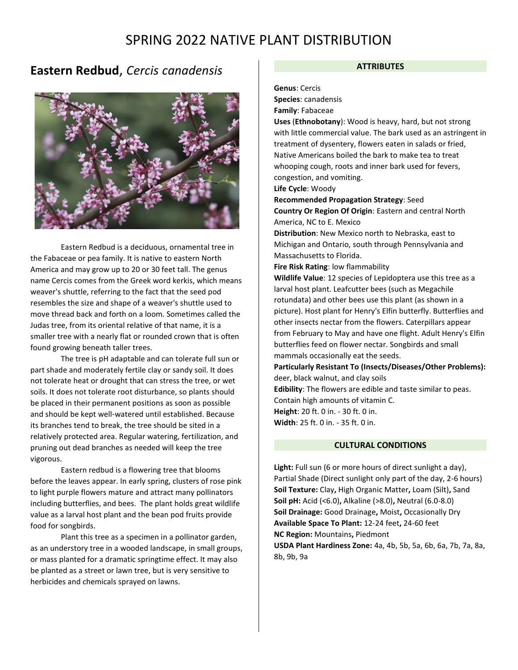## **Eastern Redbud**, *Cercis canadensis*



Eastern Redbud is a deciduous, ornamental tree in the Fabaceae or pea family. It is native to eastern North America and may grow up to 20 or 30 feet tall. The genus name Cercis comes from the Greek word kerkis, which means weaver's shuttle, referring to the fact that the seed pod resembles the size and shape of a weaver's shuttle used to move thread back and forth on a loom. Sometimes called the Judas tree, from its oriental relative of that name, it is a smaller tree with a nearly flat or rounded crown that is often found growing beneath taller trees.

The tree is pH adaptable and can tolerate full sun or part shade and moderately fertile clay or sandy soil. It does not tolerate heat or drought that can stress the tree, or wet soils. It does not tolerate root disturbance, so plants should be placed in their permanent positions as soon as possible and should be kept well-watered until established. Because its branches tend to break, the tree should be sited in a relatively protected area. Regular watering, fertilization, and pruning out dead branches as needed will keep the tree vigorous.

Eastern redbud is a flowering tree that blooms before the leaves appear. In early spring, clusters of rose pink to light purple flowers mature and attract many pollinators including butterflies, and bees. The plant holds great wildlife value as a larval host plant and the bean pod fruits provide food for songbirds.

Plant this tree as a specimen in a pollinator garden, as an understory tree in a wooded landscape, in small groups, or mass planted for a dramatic springtime effect. It may also be planted as a street or lawn tree, but is very sensitive to herbicides and chemicals sprayed on lawns.

#### **ATTRIBUTES**

#### **Genus**: Cercis

**Species**: canadensis

**Family**: Fabaceae

**Uses** (**Ethnobotany**): Wood is heavy, hard, but not strong with little commercial value. The bark used as an astringent in treatment of dysentery, flowers eaten in salads or fried, Native Americans boiled the bark to make tea to treat whooping cough, roots and inner bark used for fevers, congestion, and vomiting.

**Life Cycle**: Woody

**Recommended Propagation Strategy**: Seed

**Country Or Region Of Origin**: Eastern and central North America, NC to E. Mexico

**Distribution**: New Mexico north to Nebraska, east to Michigan and Ontario, south through Pennsylvania and Massachusetts to Florida.

**Fire Risk Rating**: low flammability

**Wildlife Value**: 12 species of Lepidoptera use this tree as a larval host plant. Leafcutter bees (such as Megachile rotundata) and other bees use this plant (as shown in a picture). Host plant for Henry's Elfin butterfly. Butterflies and other insects nectar from the flowers. Caterpillars appear from February to May and have one flight. Adult Henry's Elfin butterflies feed on flower nectar. Songbirds and small mammals occasionally eat the seeds.

**Particularly Resistant To (Insects/Diseases/Other Problems):** deer, black walnut, and clay soils

**Edibility**: The flowers are edible and taste similar to peas. Contain high amounts of vitamin C. **Height**: 20 ft. 0 in. - 30 ft. 0 in. **Width**: 25 ft. 0 in. - 35 ft. 0 in.

### **CULTURAL CONDITIONS**

**Light:** Full sun (6 or more hours of direct sunlight a day), Partial Shade (Direct sunlight only part of the day, 2-6 hours) **Soil Texture:** Clay**,** High Organic Matter**,** Loam (Silt)**,** Sand **Soil pH:** Acid (<6.0)**,** Alkaline (>8.0)**,** Neutral (6.0-8.0) **Soil Drainage:** Good Drainage**,** Moist**,** Occasionally Dry **Available Space To Plant:** 12-24 feet**,** 24-60 feet **NC Region:** Mountains**,** Piedmont **USDA Plant Hardiness Zone:** 4a, 4b, 5b, 5a, 6b, 6a, 7b, 7a, 8a, 8b, 9b, 9a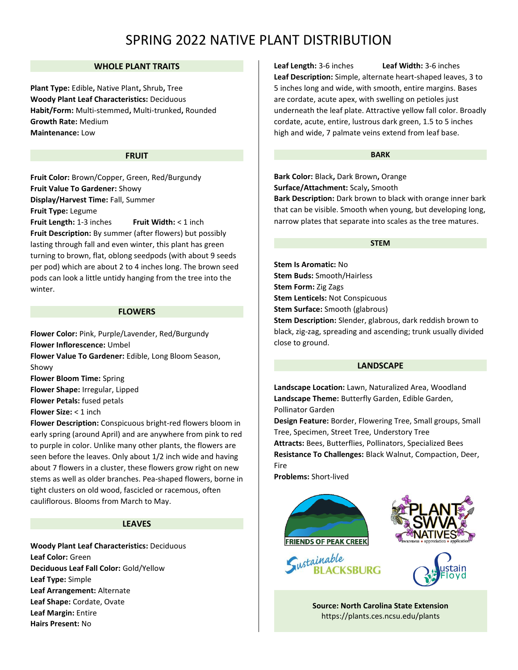## **WHOLE PLANT TRAITS**

**Plant Type:** Edible**,** Native Plant**,** Shrub**,** Tree **Woody Plant Leaf Characteristics:** Deciduous **Habit/Form:** Multi-stemmed**,** Multi-trunked**,** Rounded **Growth Rate:** Medium **Maintenance:** Low

#### **FRUIT**

**Fruit Color:** Brown/Copper, Green, Red/Burgundy **Fruit Value To Gardener:** Showy **Display/Harvest Time:** Fall, Summer **Fruit Type:** Legume

**Fruit Length:** 1-3 inches **Fruit Width:** < 1 inch **Fruit Description:** By summer (after flowers) but possibly lasting through fall and even winter, this plant has green turning to brown, flat, oblong seedpods (with about 9 seeds per pod) which are about 2 to 4 inches long. The brown seed pods can look a little untidy hanging from the tree into the winter.

### **FLOWERS**

**Flower Color:** Pink, Purple/Lavender, Red/Burgundy **Flower Inflorescence:** Umbel

**Flower Value To Gardener:** Edible, Long Bloom Season, Showy

**Flower Bloom Time:** Spring

**Flower Shape:** Irregular, Lipped

**Flower Petals:** fused petals

**Flower Size:** < 1 inch

**Flower Description:** Conspicuous bright-red flowers bloom in early spring (around April) and are anywhere from pink to red to purple in color. Unlike many other plants, the flowers are seen before the leaves. Only about 1/2 inch wide and having about 7 flowers in a cluster, these flowers grow right on new stems as well as older branches. Pea-shaped flowers, borne in tight clusters on old wood, fascicled or racemous, often cauliflorous. Blooms from March to May.

#### **LEAVES**

**Woody Plant Leaf Characteristics:** Deciduous **Leaf Color:** Green **Deciduous Leaf Fall Color:** Gold/Yellow **Leaf Type:** Simple **Leaf Arrangement:** Alternate **Leaf Shape:** Cordate, Ovate **Leaf Margin:** Entire **Hairs Present:** No

**Leaf Length:** 3-6 inches **Leaf Width:** 3-6 inches **Leaf Description:** Simple, alternate heart-shaped leaves, 3 to 5 inches long and wide, with smooth, entire margins. Bases are cordate, acute apex, with swelling on petioles just underneath the leaf plate. Attractive yellow fall color. Broadly cordate, acute, entire, lustrous dark green, 1.5 to 5 inches high and wide, 7 palmate veins extend from leaf base.

#### **BARK**

**Bark Color:** Black**,** Dark Brown**,** Orange **Surface/Attachment:** Scaly**,** Smooth **Bark Description:** Dark brown to black with orange inner bark that can be visible. Smooth when young, but developing long, narrow plates that separate into scales as the tree matures.

#### **STEM**

**Stem Is Aromatic:** No **Stem Buds:** Smooth/Hairless **Stem Form:** Zig Zags **Stem Lenticels:** Not Conspicuous **Stem Surface:** Smooth (glabrous) **Stem Description:** Slender, glabrous, dark reddish brown to black, zig-zag, spreading and ascending; trunk usually divided close to ground.

#### **LANDSCAPE**

**Landscape Location:** Lawn, Naturalized Area, Woodland **Landscape Theme:** Butterfly Garden, Edible Garden, Pollinator Garden

**Design Feature:** Border, Flowering Tree, Small groups, Small Tree, Specimen, Street Tree, Understory Tree **Attracts:** Bees, Butterflies, Pollinators, Specialized Bees **Resistance To Challenges:** Black Walnut, Compaction, Deer, Fire

**Problems:** Short-lived









**Source: North Carolina State Extension**  <https://plants.ces.ncsu.edu/plants>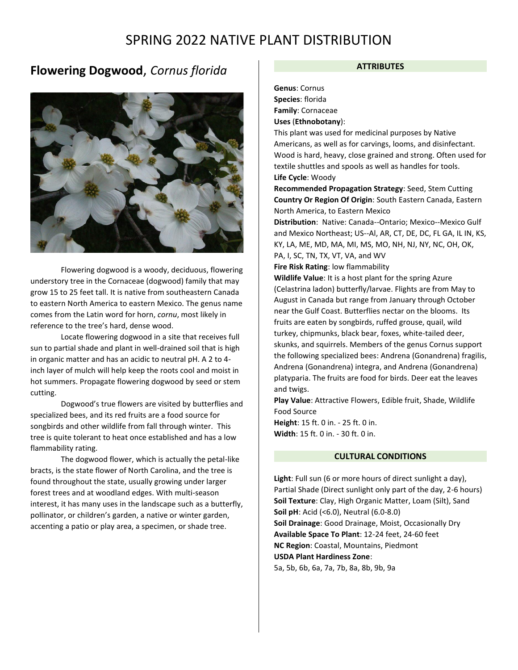## **Flowering Dogwood**, *Cornus florida*



Flowering dogwood is a woody, deciduous, flowering understory tree in the Cornaceae (dogwood) family that may grow 15 to 25 feet tall. It is native from southeastern Canada to eastern North America to eastern Mexico. The genus name comes from the Latin word for horn, *cornu*, most likely in reference to the tree's hard, dense wood.

Locate flowering dogwood in a site that receives full sun to partial shade and plant in well-drained soil that is high in organic matter and has an acidic to neutral pH. A 2 to 4 inch layer of mulch will help keep the roots cool and moist in hot summers. Propagate flowering dogwood by seed or stem cutting.

Dogwood's true flowers are visited by butterflies and specialized bees, and its red fruits are a food source for songbirds and other wildlife from fall through winter. This tree is quite tolerant to heat once established and has a low flammability rating.

The dogwood flower, which is actually the petal-like bracts, is the state flower of North Carolina, and the tree is found throughout the state, usually growing under larger forest trees and at woodland edges. With multi-season interest, it has many uses in the landscape such as a butterfly, pollinator, or children's garden, a native or winter garden, accenting a patio or play area, a specimen, or shade tree.

#### **ATTRIBUTES**

**Genus**: Cornus **Species**: florida **Family**: Cornaceae **Uses** (**Ethnobotany**):

This plant was used for medicinal purposes by Native Americans, as well as for carvings, looms, and disinfectant. Wood is hard, heavy, close grained and strong. Often used for textile shuttles and spools as well as handles for tools. **Life Cycle**: Woody

**Recommended Propagation Strategy**: Seed, Stem Cutting **Country Or Region Of Origin**: South Eastern Canada, Eastern North America, to Eastern Mexico

**Distribution**: Native: Canada--Ontario; Mexico--Mexico Gulf and Mexico Northeast; US--Al, AR, CT, DE, DC, FL GA, IL IN, KS, KY, LA, ME, MD, MA, MI, MS, MO, NH, NJ, NY, NC, OH, OK, PA, I, SC, TN, TX, VT, VA, and WV

**Fire Risk Rating**: low flammability

**Wildlife Value**: It is a host plant for the spring Azure (Celastrina ladon) butterfly/larvae. Flights are from May to August in Canada but range from January through October near the Gulf Coast. Butterflies nectar on the blooms. Its fruits are eaten by songbirds, ruffed grouse, quail, wild turkey, chipmunks, black bear, foxes, white-tailed deer, skunks, and squirrels. Members of the genus Cornus support the following specialized bees: Andrena (Gonandrena) fragilis, Andrena (Gonandrena) integra, and Andrena (Gonandrena) platyparia. The fruits are food for birds. Deer eat the leaves and twigs.

**Play Value**: Attractive Flowers, Edible fruit, Shade, Wildlife Food Source

**Height**: 15 ft. 0 in. - 25 ft. 0 in. **Width**: 15 ft. 0 in. - 30 ft. 0 in.

## **CULTURAL CONDITIONS**

**Light**: Full sun (6 or more hours of direct sunlight a day), Partial Shade (Direct sunlight only part of the day, 2-6 hours) **Soil Texture**: Clay, High Organic Matter, Loam (Silt), Sand **Soil pH**: Acid (<6.0), Neutral (6.0-8.0) **Soil Drainage**: Good Drainage, Moist, Occasionally Dry **Available Space To Plant**: 12-24 feet, 24-60 feet **NC Region**: Coastal, Mountains, Piedmont **USDA Plant Hardiness Zone**: 5a, 5b, 6b, 6a, 7a, 7b, 8a, 8b, 9b, 9a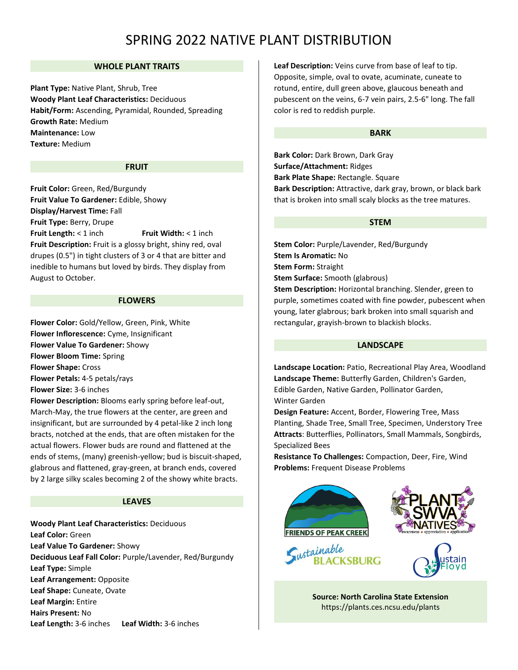## **WHOLE PLANT TRAITS**

**Plant Type:** Native Plant, Shrub, Tree **Woody Plant Leaf Characteristics:** Deciduous **Habit/Form:** Ascending, Pyramidal, Rounded, Spreading **Growth Rate:** Medium **Maintenance:** Low **Texture:** Medium

## **FRUIT**

**Fruit Color:** Green, Red/Burgundy **Fruit Value To Gardener:** Edible, Showy **Display/Harvest Time:** Fall **Fruit Type:** Berry, Drupe **Fruit Length:** < 1 inch **Fruit Width:** < 1 inch **Fruit Description:** Fruit is a glossy bright, shiny red, oval drupes (0.5") in tight clusters of 3 or 4 that are bitter and inedible to humans but loved by birds. They display from August to October.

#### **FLOWERS**

**Flower Color:** Gold/Yellow, Green, Pink, White **Flower Inflorescence:** Cyme, Insignificant **Flower Value To Gardener:** Showy **Flower Bloom Time:** Spring **Flower Shape:** Cross **Flower Petals:** 4-5 petals/rays **Flower Size:** 3-6 inches **Flower Description:** Blooms early spring before leaf-out,

March-May, the true flowers at the center, are green and insignificant, but are surrounded by 4 petal-like 2 inch long bracts, notched at the ends, that are often mistaken for the actual flowers. Flower buds are round and flattened at the ends of stems, (many) greenish-yellow; bud is biscuit-shaped, glabrous and flattened, gray-green, at branch ends, covered by 2 large silky scales becoming 2 of the showy white bracts.

### **LEAVES**

**Woody Plant Leaf Characteristics:** Deciduous **Leaf Color:** Green **Leaf Value To Gardener:** Showy **Deciduous Leaf Fall Color:** Purple/Lavender, Red/Burgundy **Leaf Type:** Simple **Leaf Arrangement:** Opposite **Leaf Shape:** Cuneate, Ovate **Leaf Margin:** Entire **Hairs Present:** No **Leaf Length:** 3-6 inches **Leaf Width:** 3-6 inches

**Leaf Description:** Veins curve from base of leaf to tip. Opposite, simple, oval to ovate, acuminate, cuneate to rotund, entire, dull green above, glaucous beneath and pubescent on the veins, 6-7 vein pairs, 2.5-6" long. The fall color is red to reddish purple.

#### **BARK**

**Bark Color:** Dark Brown, Dark Gray **Surface/Attachment:** Ridges **Bark Plate Shape:** Rectangle. Square **Bark Description:** Attractive, dark gray, brown, or black bark that is broken into small scaly blocks as the tree matures.

#### **STEM**

**Stem Color:** Purple/Lavender, Red/Burgundy **Stem Is Aromatic:** No **Stem Form:** Straight **Stem Surface:** Smooth (glabrous) **Stem Description:** Horizontal branching. Slender, green to purple, sometimes coated with fine powder, pubescent when young, later glabrous; bark broken into small squarish and rectangular, grayish-brown to blackish blocks.

## **LANDSCAPE**

**Landscape Location:** Patio, Recreational Play Area, Woodland **Landscape Theme:** Butterfly Garden, Children's Garden, Edible Garden, Native Garden, Pollinator Garden, Winter Garden

**Design Feature:** Accent, Border, Flowering Tree, Mass Planting, Shade Tree, Small Tree, Specimen, Understory Tree **Attracts**: Butterflies, Pollinators, Small Mammals, Songbirds, Specialized Bees

**Resistance To Challenges:** Compaction, Deer, Fire, Wind **Problems:** Frequent Disease Problems









**Source: North Carolina State Extension**  <https://plants.ces.ncsu.edu/plants>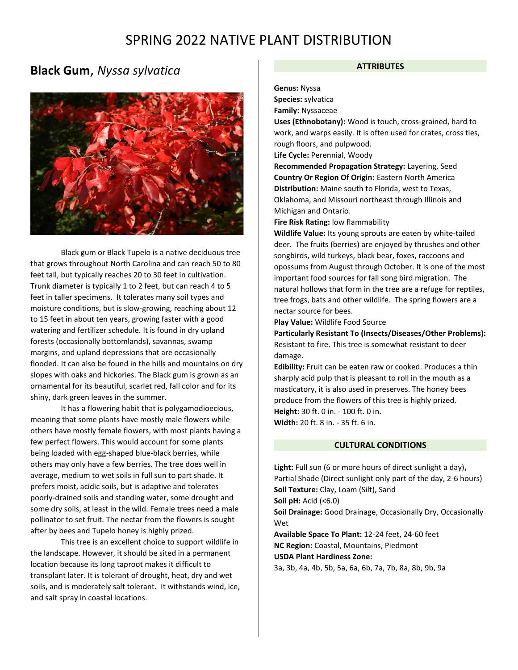## **Black Gum**, *Nyssa sylvatica*



Black gum or Black Tupelo is a native deciduous tree that grows throughout North Carolina and can reach 50 to 80 feet tall, but typically reaches 20 to 30 feet in cultivation. Trunk diameter is typically 1 to 2 feet, but can reach 4 to 5 feet in taller specimens. It tolerates many soil types and moisture conditions, but is slow-growing, reaching about 12 to 15 feet in about ten years, growing faster with a good watering and fertilizer schedule. It is found in dry upland forests (occasionally bottomlands), savannas, swamp margins, and upland depressions that are occasionally flooded. It can also be found in the hills and mountains on dry slopes with oaks and hickories. The Black gum is grown as an ornamental for its beautiful, scarlet red, fall color and for its shiny, dark green leaves in the summer.

It has a flowering habit that is polygamodioecious, meaning that some plants have mostly male flowers while others have mostly female flowers, with most plants having a few perfect flowers. This would account for some plants being loaded with egg-shaped blue-black berries, while others may only have a few berries. The tree does well in average, medium to wet soils in full sun to part shade. It prefers moist, acidic soils, but is adaptive and tolerates poorly-drained soils and standing water, some drought and some dry soils, at least in the wild. Female trees need a male pollinator to set fruit. The nectar from the flowers is sought after by bees and Tupelo honey is highly prized.

This tree is an excellent choice to support wildlife in the landscape. However, it should be sited in a permanent location because its long taproot makes it difficult to transplant later. It is tolerant of drought, heat, dry and wet soils, and is moderately salt tolerant. It withstands wind, ice, and salt spray in coastal locations.

### **ATTRIBUTES**

**Genus:** Nyssa

**Species:** sylvatica

**Family:** Nyssaceae

**Uses (Ethnobotany):** Wood is touch, cross-grained, hard to work, and warps easily. It is often used for crates, cross ties, rough floors, and pulpwood.

**Life Cycle:** Perennial, Woody

**Recommended Propagation Strategy:** Layering, Seed **Country Or Region Of Origin:** Eastern North America **Distribution:** Maine south to Florida, west to Texas, Oklahoma, and Missouri northeast through Illinois and Michigan and Ontario.

**Fire Risk Rating:** low flammability

**Wildlife Value:** Its young sprouts are eaten by white-tailed deer. The fruits (berries) are enjoyed by thrushes and other songbirds, wild turkeys, black bear, foxes, raccoons and opossums from August through October. It is one of the most important food sources for fall song bird migration. The natural hollows that form in the tree are a refuge for reptiles, tree frogs, bats and other wildlife. The spring flowers are a nectar source for bees.

**Play Value:** Wildlife Food Source

**Particularly Resistant To (Insects/Diseases/Other Problems):** Resistant to fire. This tree is somewhat resistant to deer damage.

**Edibility:** Fruit can be eaten raw or cooked. Produces a thin sharply acid pulp that is pleasant to roll in the mouth as a masticatory, it is also used in preserves. The honey bees produce from the flowers of this tree is highly prized. **Height:** 30 ft. 0 in. - 100 ft. 0 in. **Width:** 20 ft. 8 in. - 35 ft. 6 in.

## **CULTURAL CONDITIONS**

**Light:** Full sun (6 or more hours of direct sunlight a day)**,**  Partial Shade (Direct sunlight only part of the day, 2-6 hours) **Soil Texture:** Clay, Loam (Silt), Sand **Soil pH:** Acid (<6.0) **Soil Drainage:** Good Drainage, Occasionally Dry, Occasionally Wet **Available Space To Plant:** 12-24 feet, 24-60 feet **NC Region:** Coastal, Mountains, Piedmont **USDA Plant Hardiness Zone:** 3a, 3b, 4a, 4b, 5b, 5a, 6a, 6b, 7a, 7b, 8a, 8b, 9b, 9a